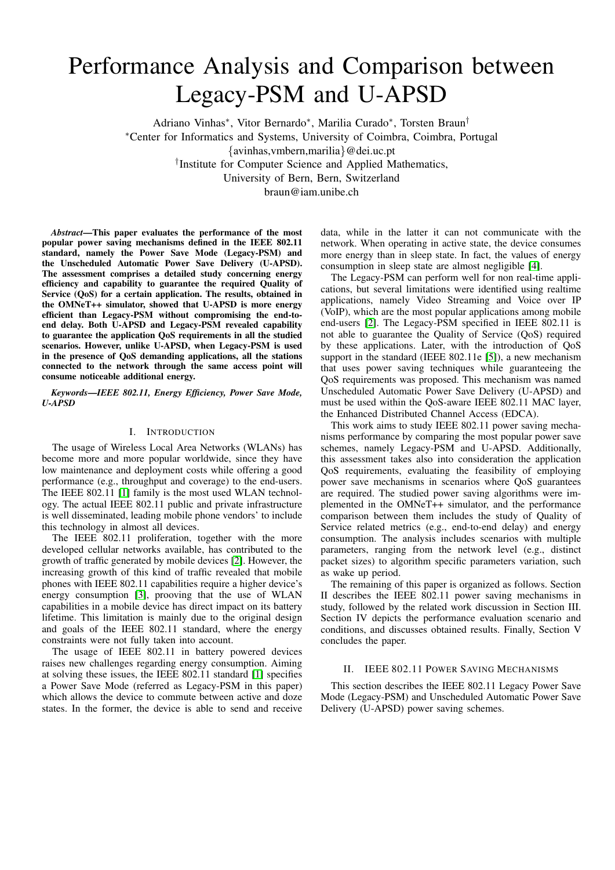# Performance Analysis and Comparison between Legacy-PSM and U-APSD

Adriano Vinhas<sup>∗</sup> , Vitor Bernardo<sup>∗</sup> , Marilia Curado<sup>∗</sup> , Torsten Braun† <sup>∗</sup>Center for Informatics and Systems, University of Coimbra, Coimbra, Portugal {avinhas,vmbern,marilia}@dei.uc.pt † Institute for Computer Science and Applied Mathematics, University of Bern, Bern, Switzerland

braun@iam.unibe.ch

*Abstract*—This paper evaluates the performance of the most popular power saving mechanisms defined in the IEEE 802.11 standard, namely the Power Save Mode (Legacy-PSM) and the Unscheduled Automatic Power Save Delivery (U-APSD). The assessment comprises a detailed study concerning energy efficiency and capability to guarantee the required Quality of Service (QoS) for a certain application. The results, obtained in the OMNeT++ simulator, showed that U-APSD is more energy efficient than Legacy-PSM without compromising the end-toend delay. Both U-APSD and Legacy-PSM revealed capability to guarantee the application QoS requirements in all the studied scenarios. However, unlike U-APSD, when Legacy-PSM is used in the presence of QoS demanding applications, all the stations connected to the network through the same access point will consume noticeable additional energy.

*Keywords*—*IEEE 802.11, Energy Efficiency, Power Save Mode, U-APSD*

## I. INTRODUCTION

The usage of Wireless Local Area Networks (WLANs) has become more and more popular worldwide, since they have low maintenance and deployment costs while offering a good performance (e.g., throughput and coverage) to the end-users. The IEEE 802.11 [\[1\]](#page-5-0) family is the most used WLAN technology. The actual IEEE 802.11 public and private infrastructure is well disseminated, leading mobile phone vendors' to include this technology in almost all devices.

The IEEE 802.11 proliferation, together with the more developed cellular networks available, has contributed to the growth of traffic generated by mobile devices [\[2\]](#page-5-1). However, the increasing growth of this kind of traffic revealed that mobile phones with IEEE 802.11 capabilities require a higher device's energy consumption [\[3\]](#page-5-2), prooving that the use of WLAN capabilities in a mobile device has direct impact on its battery lifetime. This limitation is mainly due to the original design and goals of the IEEE 802.11 standard, where the energy constraints were not fully taken into account.

The usage of IEEE 802.11 in battery powered devices raises new challenges regarding energy consumption. Aiming at solving these issues, the IEEE 802.11 standard [\[1\]](#page-5-0) specifies a Power Save Mode (referred as Legacy-PSM in this paper) which allows the device to commute between active and doze states. In the former, the device is able to send and receive

data, while in the latter it can not communicate with the network. When operating in active state, the device consumes more energy than in sleep state. In fact, the values of energy consumption in sleep state are almost negligible [\[4\]](#page-5-3).

The Legacy-PSM can perform well for non real-time applications, but several limitations were identified using realtime applications, namely Video Streaming and Voice over IP (VoIP), which are the most popular applications among mobile end-users [\[2\]](#page-5-1). The Legacy-PSM specified in IEEE 802.11 is not able to guarantee the Quality of Service (QoS) required by these applications. Later, with the introduction of QoS support in the standard (IEEE 802.11e [\[5\]](#page-5-4)), a new mechanism that uses power saving techniques while guaranteeing the QoS requirements was proposed. This mechanism was named Unscheduled Automatic Power Save Delivery (U-APSD) and must be used within the QoS-aware IEEE 802.11 MAC layer, the Enhanced Distributed Channel Access (EDCA).

This work aims to study IEEE 802.11 power saving mechanisms performance by comparing the most popular power save schemes, namely Legacy-PSM and U-APSD. Additionally, this assessment takes also into consideration the application QoS requirements, evaluating the feasibility of employing power save mechanisms in scenarios where QoS guarantees are required. The studied power saving algorithms were implemented in the OMNeT++ simulator, and the performance comparison between them includes the study of Quality of Service related metrics (e.g., end-to-end delay) and energy consumption. The analysis includes scenarios with multiple parameters, ranging from the network level (e.g., distinct packet sizes) to algorithm specific parameters variation, such as wake up period.

The remaining of this paper is organized as follows. Section II describes the IEEE 802.11 power saving mechanisms in study, followed by the related work discussion in Section III. Section IV depicts the performance evaluation scenario and conditions, and discusses obtained results. Finally, Section V concludes the paper.

## II. IEEE 802.11 POWER SAVING MECHANISMS

This section describes the IEEE 802.11 Legacy Power Save Mode (Legacy-PSM) and Unscheduled Automatic Power Save Delivery (U-APSD) power saving schemes.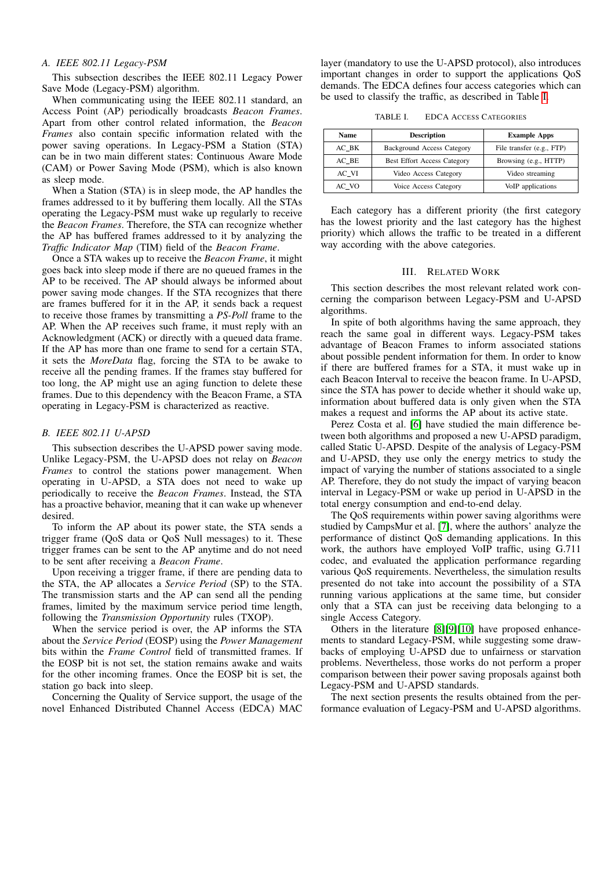#### *A. IEEE 802.11 Legacy-PSM*

This subsection describes the IEEE 802.11 Legacy Power Save Mode (Legacy-PSM) algorithm.

When communicating using the IEEE 802.11 standard, an Access Point (AP) periodically broadcasts *Beacon Frames*. Apart from other control related information, the *Beacon Frames* also contain specific information related with the power saving operations. In Legacy-PSM a Station (STA) can be in two main different states: Continuous Aware Mode (CAM) or Power Saving Mode (PSM), which is also known as sleep mode.

When a Station (STA) is in sleep mode, the AP handles the frames addressed to it by buffering them locally. All the STAs operating the Legacy-PSM must wake up regularly to receive the *Beacon Frames*. Therefore, the STA can recognize whether the AP has buffered frames addressed to it by analyzing the *Traffic Indicator Map* (TIM) field of the *Beacon Frame*.

Once a STA wakes up to receive the *Beacon Frame*, it might goes back into sleep mode if there are no queued frames in the AP to be received. The AP should always be informed about power saving mode changes. If the STA recognizes that there are frames buffered for it in the AP, it sends back a request to receive those frames by transmitting a *PS-Poll* frame to the AP. When the AP receives such frame, it must reply with an Acknowledgment (ACK) or directly with a queued data frame. If the AP has more than one frame to send for a certain STA, it sets the *MoreData* flag, forcing the STA to be awake to receive all the pending frames. If the frames stay buffered for too long, the AP might use an aging function to delete these frames. Due to this dependency with the Beacon Frame, a STA operating in Legacy-PSM is characterized as reactive.

# <span id="page-1-1"></span>*B. IEEE 802.11 U-APSD*

This subsection describes the U-APSD power saving mode. Unlike Legacy-PSM, the U-APSD does not relay on *Beacon Frames* to control the stations power management. When operating in U-APSD, a STA does not need to wake up periodically to receive the *Beacon Frames*. Instead, the STA has a proactive behavior, meaning that it can wake up whenever desired.

To inform the AP about its power state, the STA sends a trigger frame (QoS data or QoS Null messages) to it. These trigger frames can be sent to the AP anytime and do not need to be sent after receiving a *Beacon Frame*.

Upon receiving a trigger frame, if there are pending data to the STA, the AP allocates a *Service Period* (SP) to the STA. The transmission starts and the AP can send all the pending frames, limited by the maximum service period time length, following the *Transmission Opportunity* rules (TXOP).

When the service period is over, the AP informs the STA about the *Service Period* (EOSP) using the *Power Management* bits within the *Frame Control* field of transmitted frames. If the EOSP bit is not set, the station remains awake and waits for the other incoming frames. Once the EOSP bit is set, the station go back into sleep.

Concerning the Quality of Service support, the usage of the novel Enhanced Distributed Channel Access (EDCA) MAC layer (mandatory to use the U-APSD protocol), also introduces important changes in order to support the applications QoS demands. The EDCA defines four access categories which can be used to classify the traffic, as described in Table [I.](#page-1-0)

<span id="page-1-0"></span>TABLE I. EDCA ACCESS CATEGORIES

| Name    | <b>Description</b>                 | <b>Example Apps</b>       |
|---------|------------------------------------|---------------------------|
| AC BK   | <b>Background Access Category</b>  | File transfer (e.g., FTP) |
| AC BE   | <b>Best Effort Access Category</b> | Browsing (e.g., HTTP)     |
| AC VI   | Video Access Category              | Video streaming           |
| $AC_VO$ | <b>Voice Access Category</b>       | VoIP applications         |

Each category has a different priority (the first category has the lowest priority and the last category has the highest priority) which allows the traffic to be treated in a different way according with the above categories.

#### III. RELATED WORK

This section describes the most relevant related work concerning the comparison between Legacy-PSM and U-APSD algorithms.

In spite of both algorithms having the same approach, they reach the same goal in different ways. Legacy-PSM takes advantage of Beacon Frames to inform associated stations about possible pendent information for them. In order to know if there are buffered frames for a STA, it must wake up in each Beacon Interval to receive the beacon frame. In U-APSD, since the STA has power to decide whether it should wake up, information about buffered data is only given when the STA makes a request and informs the AP about its active state.

Perez Costa et al. [\[6\]](#page-5-5) have studied the main difference between both algorithms and proposed a new U-APSD paradigm, called Static U-APSD. Despite of the analysis of Legacy-PSM and U-APSD, they use only the energy metrics to study the impact of varying the number of stations associated to a single AP. Therefore, they do not study the impact of varying beacon interval in Legacy-PSM or wake up period in U-APSD in the total energy consumption and end-to-end delay.

The QoS requirements within power saving algorithms were studied by CampsMur et al. [\[7\]](#page-5-6), where the authors' analyze the performance of distinct QoS demanding applications. In this work, the authors have employed VoIP traffic, using G.711 codec, and evaluated the application performance regarding various QoS requirements. Nevertheless, the simulation results presented do not take into account the possibility of a STA running various applications at the same time, but consider only that a STA can just be receiving data belonging to a single Access Category.

Others in the literature [\[8\]](#page-5-7)[\[9\]](#page-5-8)[\[10\]](#page-5-9) have proposed enhancements to standard Legacy-PSM, while suggesting some drawbacks of employing U-APSD due to unfairness or starvation problems. Nevertheless, those works do not perform a proper comparison between their power saving proposals against both Legacy-PSM and U-APSD standards.

The next section presents the results obtained from the performance evaluation of Legacy-PSM and U-APSD algorithms.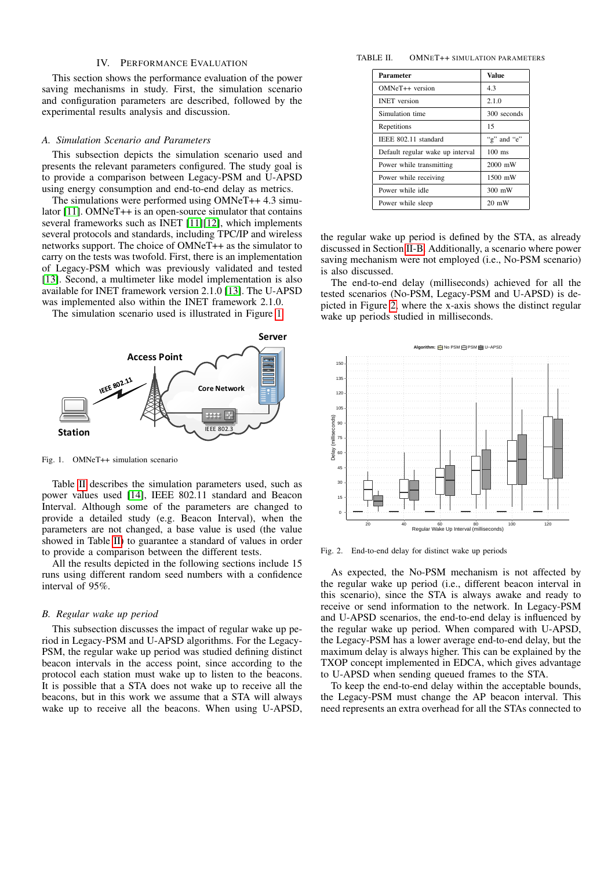#### IV. PERFORMANCE EVALUATION

This section shows the performance evaluation of the power saving mechanisms in study. First, the simulation scenario and configuration parameters are described, followed by the experimental results analysis and discussion.

#### *A. Simulation Scenario and Parameters*

This subsection depicts the simulation scenario used and presents the relevant parameters configured. The study goal is to provide a comparison between Legacy-PSM and U-APSD using energy consumption and end-to-end delay as metrics.

The simulations were performed using OMNeT++ 4.3 simulator [\[11\]](#page-5-10). OMNeT++ is an open-source simulator that contains several frameworks such as INET [\[11\]](#page-5-10)[\[12\]](#page-5-11), which implements several protocols and standards, including TPC/IP and wireless networks support. The choice of OMNeT++ as the simulator to carry on the tests was twofold. First, there is an implementation of Legacy-PSM which was previously validated and tested [\[13\]](#page-5-12). Second, a multimeter like model implementation is also available for INET framework version 2.1.0 [\[13\]](#page-5-12). The U-APSD was implemented also within the INET framework 2.1.0.

The simulation scenario used is illustrated in Figure [1.](#page-2-0)



<span id="page-2-0"></span>Fig. 1. OMNeT++ simulation scenario

Table [II](#page-2-1) describes the simulation parameters used, such as power values used [\[14\]](#page-5-13), IEEE 802.11 standard and Beacon Interval. Although some of the parameters are changed to provide a detailed study (e.g. Beacon Interval), when the parameters are not changed, a base value is used (the value showed in Table [II\)](#page-2-1) to guarantee a standard of values in order to provide a comparison between the different tests.

All the results depicted in the following sections include 15 runs using different random seed numbers with a confidence interval of 95%.

#### *B. Regular wake up period*

This subsection discusses the impact of regular wake up period in Legacy-PSM and U-APSD algorithms. For the Legacy-PSM, the regular wake up period was studied defining distinct beacon intervals in the access point, since according to the protocol each station must wake up to listen to the beacons. It is possible that a STA does not wake up to receive all the beacons, but in this work we assume that a STA will always wake up to receive all the beacons. When using U-APSD,

#### TABLE II. OMNET++ SIMULATION PARAMETERS

<span id="page-2-1"></span>

| Parameter                        | <b>Value</b>     |  |  |
|----------------------------------|------------------|--|--|
| OMNeT++ version                  | 4.3              |  |  |
| <b>INET</b> version              | 2.1.0            |  |  |
| Simulation time                  | 300 seconds      |  |  |
| Repetitions                      | 15               |  |  |
| IEEE 802.11 standard             | "g" and "e"      |  |  |
| Default regular wake up interval | $100$ ms         |  |  |
| Power while transmitting         | 2000 mW          |  |  |
| Power while receiving            | 1500 mW          |  |  |
| Power while idle                 | $300 \text{ mW}$ |  |  |
| Power while sleep                | $20 \text{ mW}$  |  |  |

the regular wake up period is defined by the STA, as already discussed in Section [II-B.](#page-1-1) Additionally, a scenario where power saving mechanism were not employed (i.e., No-PSM scenario) is also discussed.

The end-to-end delay (milliseconds) achieved for all the tested scenarios (No-PSM, Legacy-PSM and U-APSD) is depicted in Figure [2,](#page-2-2) where the x-axis shows the distinct regular wake up periods studied in milliseconds.



<span id="page-2-2"></span>Fig. 2. End-to-end delay for distinct wake up periods

As expected, the No-PSM mechanism is not affected by the regular wake up period (i.e., different beacon interval in this scenario), since the STA is always awake and ready to receive or send information to the network. In Legacy-PSM and U-APSD scenarios, the end-to-end delay is influenced by the regular wake up period. When compared with U-APSD, the Legacy-PSM has a lower average end-to-end delay, but the maximum delay is always higher. This can be explained by the TXOP concept implemented in EDCA, which gives advantage to U-APSD when sending queued frames to the STA.

To keep the end-to-end delay within the acceptable bounds, the Legacy-PSM must change the AP beacon interval. This need represents an extra overhead for all the STAs connected to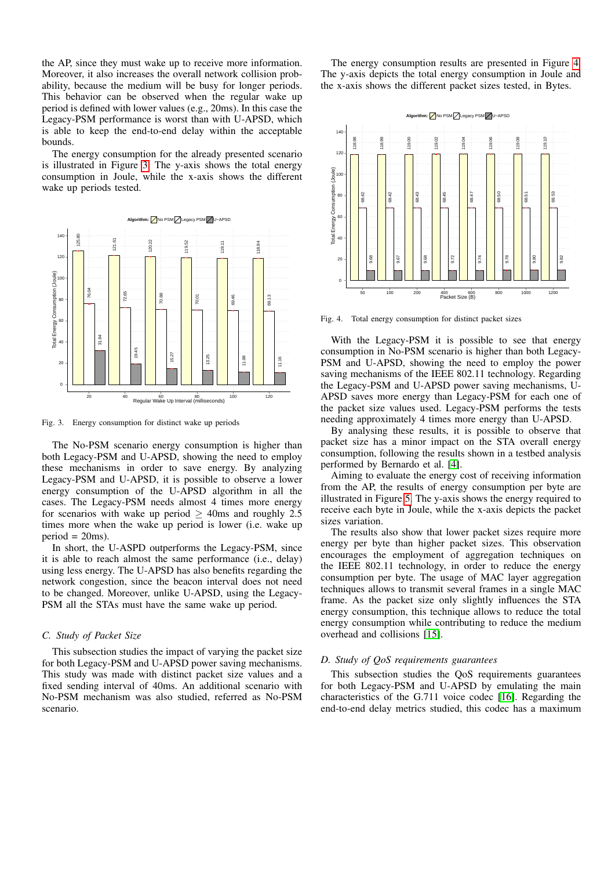the AP, since they must wake up to receive more information. Moreover, it also increases the overall network collision probability, because the medium will be busy for longer periods. This behavior can be observed when the regular wake up period is defined with lower values (e.g., 20ms). In this case the Legacy-PSM performance is worst than with U-APSD, which is able to keep the end-to-end delay within the acceptable bounds.

The energy consumption for the already presented scenario is illustrated in Figure [3.](#page-3-0) The y-axis shows the total energy consumption in Joule, while the x-axis shows the different wake up periods tested.



<span id="page-3-0"></span>Fig. 3. Energy consumption for distinct wake up periods

The No-PSM scenario energy consumption is higher than both Legacy-PSM and U-APSD, showing the need to employ these mechanisms in order to save energy. By analyzing Legacy-PSM and U-APSD, it is possible to observe a lower energy consumption of the U-APSD algorithm in all the cases. The Legacy-PSM needs almost 4 times more energy for scenarios with wake up period  $\geq$  40ms and roughly 2.5 times more when the wake up period is lower (i.e. wake up  $period = 20ms$ ).

In short, the U-ASPD outperforms the Legacy-PSM, since it is able to reach almost the same performance (i.e., delay) using less energy. The U-APSD has also benefits regarding the network congestion, since the beacon interval does not need to be changed. Moreover, unlike U-APSD, using the Legacy-PSM all the STAs must have the same wake up period.

#### *C. Study of Packet Size*

This subsection studies the impact of varying the packet size for both Legacy-PSM and U-APSD power saving mechanisms. This study was made with distinct packet size values and a fixed sending interval of 40ms. An additional scenario with No-PSM mechanism was also studied, referred as No-PSM scenario.

The energy consumption results are presented in Figure [4.](#page-3-1) The y-axis depicts the total energy consumption in Joule and the x-axis shows the different packet sizes tested, in Bytes.



<span id="page-3-1"></span>Fig. 4. Total energy consumption for distinct packet sizes

With the Legacy-PSM it is possible to see that energy consumption in No-PSM scenario is higher than both Legacy-PSM and U-APSD, showing the need to employ the power saving mechanisms of the IEEE 802.11 technology. Regarding the Legacy-PSM and U-APSD power saving mechanisms, U-APSD saves more energy than Legacy-PSM for each one of the packet size values used. Legacy-PSM performs the tests needing approximately 4 times more energy than U-APSD.

By analysing these results, it is possible to observe that packet size has a minor impact on the STA overall energy consumption, following the results shown in a testbed analysis performed by Bernardo et al. [\[4\]](#page-5-3).

Aiming to evaluate the energy cost of receiving information from the AP, the results of energy consumption per byte are illustrated in Figure [5.](#page-4-0) The y-axis shows the energy required to receive each byte in Joule, while the x-axis depicts the packet sizes variation.

The results also show that lower packet sizes require more energy per byte than higher packet sizes. This observation encourages the employment of aggregation techniques on the IEEE 802.11 technology, in order to reduce the energy consumption per byte. The usage of MAC layer aggregation techniques allows to transmit several frames in a single MAC frame. As the packet size only slightly influences the STA energy consumption, this technique allows to reduce the total energy consumption while contributing to reduce the medium overhead and collisions [\[15\]](#page-5-14).

## *D. Study of QoS requirements guarantees*

This subsection studies the QoS requirements guarantees for both Legacy-PSM and U-APSD by emulating the main characteristics of the G.711 voice codec [\[16\]](#page-5-15). Regarding the end-to-end delay metrics studied, this codec has a maximum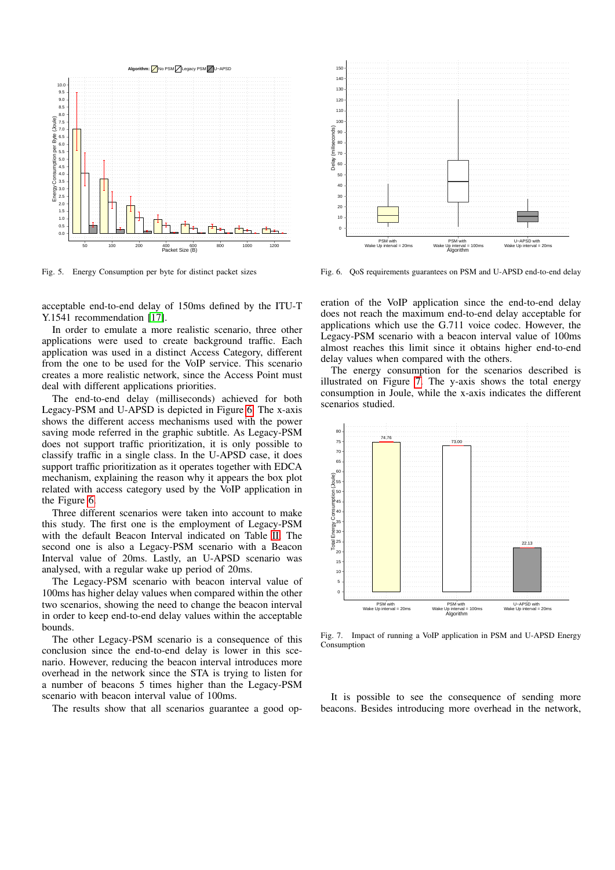

<span id="page-4-0"></span>Fig. 5. Energy Consumption per byte for distinct packet sizes

acceptable end-to-end delay of 150ms defined by the ITU-T Y.1541 recommendation [\[17\]](#page-5-16).

In order to emulate a more realistic scenario, three other applications were used to create background traffic. Each application was used in a distinct Access Category, different from the one to be used for the VoIP service. This scenario creates a more realistic network, since the Access Point must deal with different applications priorities.

The end-to-end delay (milliseconds) achieved for both Legacy-PSM and U-APSD is depicted in Figure [6.](#page-4-1) The x-axis shows the different access mechanisms used with the power saving mode referred in the graphic subtitle. As Legacy-PSM does not support traffic prioritization, it is only possible to classify traffic in a single class. In the U-APSD case, it does support traffic prioritization as it operates together with EDCA mechanism, explaining the reason why it appears the box plot related with access category used by the VoIP application in the Figure [6.](#page-4-1)

Three different scenarios were taken into account to make this study. The first one is the employment of Legacy-PSM with the default Beacon Interval indicated on Table [II.](#page-2-1) The second one is also a Legacy-PSM scenario with a Beacon Interval value of 20ms. Lastly, an U-APSD scenario was analysed, with a regular wake up period of 20ms.

The Legacy-PSM scenario with beacon interval value of 100ms has higher delay values when compared within the other two scenarios, showing the need to change the beacon interval in order to keep end-to-end delay values within the acceptable bounds.

The other Legacy-PSM scenario is a consequence of this conclusion since the end-to-end delay is lower in this scenario. However, reducing the beacon interval introduces more overhead in the network since the STA is trying to listen for a number of beacons 5 times higher than the Legacy-PSM scenario with beacon interval value of 100ms.

The results show that all scenarios guarantee a good op-



<span id="page-4-1"></span>Fig. 6. QoS requirements guarantees on PSM and U-APSD end-to-end delay

eration of the VoIP application since the end-to-end delay does not reach the maximum end-to-end delay acceptable for applications which use the G.711 voice codec. However, the Legacy-PSM scenario with a beacon interval value of 100ms almost reaches this limit since it obtains higher end-to-end delay values when compared with the others.

The energy consumption for the scenarios described is illustrated on Figure [7.](#page-4-2) The y-axis shows the total energy consumption in Joule, while the x-axis indicates the different scenarios studied.



<span id="page-4-2"></span>Fig. 7. Impact of running a VoIP application in PSM and U-APSD Energy Consumption

It is possible to see the consequence of sending more beacons. Besides introducing more overhead in the network,